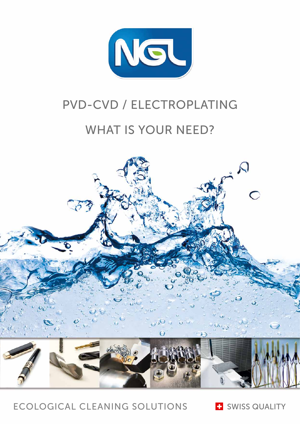

# PVD-CVD / ELECTROPLATING

## WHAT IS YOUR NEED?



ECOLOGICAL CLEANING SOLUTIONS

**E** SWISS QUALITY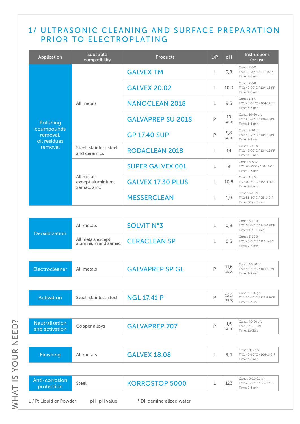## 1/ ULTRASONIC CLEANING AND SURFACE PREPARATION PRIOR TO ELECTROPLATING

| Application                                                    | Substrate<br>compatibility                     | <b>Products</b>          | L/P              | pH                | Instructions<br>for use                                        |                                                          |
|----------------------------------------------------------------|------------------------------------------------|--------------------------|------------------|-------------------|----------------------------------------------------------------|----------------------------------------------------------|
| Polishing<br>coumpounds<br>removal,<br>oil residues<br>removal |                                                |                          | <b>GALVEX TM</b> | L                 | 9.8                                                            | Conc.: 2-5%<br>T°C: 50-70°C / 122-158°F<br>Time: 3-5 min |
|                                                                |                                                | <b>GALVEX 20.02</b>      | L                | 10.3              | Conc.: 2-5%<br>T°C: 40-70°C / 104-158°F<br>Time: 2-5 min       |                                                          |
|                                                                | All metals                                     | <b>NANOCLEAN 2018</b>    | L                | 9.5               | Conc.: 1-5%<br>T°C: 40-60°C / 104-140°F<br>Time: 3-5 min       |                                                          |
|                                                                |                                                | <b>GALVAPREP SU 2018</b> | P                | 10<br>$(3\%$ DI)  | Conc.: 20-60 g/L<br>T°C: 40-70°C / 104-158°F<br>Time: 3-5 min  |                                                          |
|                                                                |                                                | <b>GP 17.40 SUP</b>      | P                | 9,8<br>$(3\%$ DI) | Conc.: 5-20 g/L<br>T°C: 40-70°C / 104-158°F<br>Time: 1-3 min   |                                                          |
|                                                                | Steel, stainless steel<br>and ceramics         | <b>RODACLEAN 2018</b>    | L                | 14                | Conc.: 3-10 %<br>T°C: 40-70°C / 104-158°F<br>Time: 3-5 min     |                                                          |
|                                                                |                                                | <b>SUPER GALVEX 001</b>  | L                | $\mathsf{Q}$      | Conc.: $3-5%$<br>T°C: 70-75°C / 158-167°F<br>Time: 2-3 min     |                                                          |
|                                                                | All metals<br>except aluminium,<br>zamac, zinc | <b>GALVEX 17.30 PLUS</b> | L                | 10.8              | Conc.: 1-3 %<br>T°C: 70-80°C / 158-176°F<br>Time: 2-3 min      |                                                          |
|                                                                |                                                | <b>MESSERCLEAN</b>       | L                | 1.9               | Conc.: 3-10 %<br>T°C: 35-60°C / 95-140°F<br>Time: 30 s - 5 min |                                                          |

| <b>Deoxidization</b> | All metals                               | SOLVIT N°3          | 0.9 | Conc.: $3-10\%$<br>T°C: 60-70°C / 140-158°F<br>Time: 20 s - 5 min |
|----------------------|------------------------------------------|---------------------|-----|-------------------------------------------------------------------|
|                      | All metals except<br>aluminium and zamac | <b>CERACLEAN SP</b> | 0.5 | Conc.: $3-10\%$<br>T°C: 45-60°C / 113-140°F<br>Time: 2-4 min      |

| Electrocleaner                                                       | All metals             | <b>GALVAPREP SP GL</b> | P | 11,6<br>$(3\%$ DI) | Conc.: 40-60 g/L<br>T°C: 40-50°C / 104-122°F<br>Time: 1-2 min |
|----------------------------------------------------------------------|------------------------|------------------------|---|--------------------|---------------------------------------------------------------|
|                                                                      |                        |                        |   |                    |                                                               |
| <b>Activation</b>                                                    | Steel, stainless steel | <b>NGL 17.41 P</b>     | P | 12,5<br>(3%DI)     | Conc.: 30-50 g/L<br>T°C: 50-60°C / 122-140°F<br>Time: 2-4 min |
|                                                                      |                        |                        |   |                    |                                                               |
| <b>Neutralisation</b><br>and activation                              | Copper alloys          | <b>GALVAPREP 707</b>   | P | 1,5<br>$(3\%$ DI)  | Conc.: 40-60 g/L<br>T°C: 20°C / 68°F<br>Time: 10-30 s         |
|                                                                      |                        |                        |   |                    |                                                               |
| Finishing                                                            | All metals             | <b>GALVEX 18.08</b>    | L | 9,4                | Conc.: 0,1-3 %<br>T°C: 40-60°C / 104-140°F<br>Time: 3-5 min   |
|                                                                      |                        |                        |   |                    |                                                               |
| Anti-corrosion<br>protection                                         | Steel                  | <b>KORROSTOP 5000</b>  | L | 12,3               | Conc.: 0,02-0,1%<br>T°C: 20-30°C / 68-86°F<br>Time: 2-3 min   |
| L / P: Liquid or Powder<br>pH: pH value<br>* DI: demineralized water |                        |                        |   |                    |                                                               |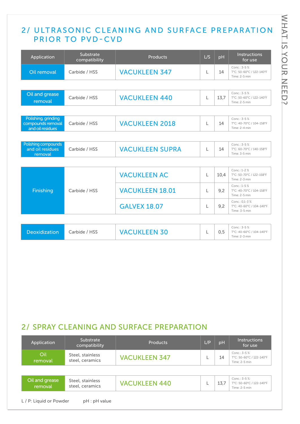## 2/ ULTRASONIC CLEANING AND SURFACE PREPARATION PRIOR TO PVD-CVD

| Application                                                  | Substrate<br>compatibility | <b>Products</b>        | L/S | <b>pH</b> | <b>Instructions</b><br>for use                             |
|--------------------------------------------------------------|----------------------------|------------------------|-----|-----------|------------------------------------------------------------|
| Oil removal                                                  | Carbide / HSS              | <b>VACUKLEEN 347</b>   | L   | 14        | Conc.: 3-5%<br>T°C: 50-60°C / 122-140°F<br>Time: 2-5 min   |
|                                                              |                            |                        |     |           |                                                            |
| Oil and grease<br>removal                                    | Carbide / HSS              | <b>VACUKLEEN 440</b>   | L   | 13.7      | Conc.: 3-5%<br>T°C: 50-60°C / 122-140°F<br>Time: 2-5 min   |
|                                                              |                            |                        |     |           |                                                            |
| Polishing, grinding<br>compounds removal<br>and oil residues | Carbide / HSS              | <b>VACUKLEEN 2018</b>  | L   | 14        | Conc.: 3-5%<br>T°C: 40-70°C / 104-158°F<br>Time: 2-4 min   |
|                                                              |                            |                        |     |           |                                                            |
| Polishing compounds<br>and oil residues<br>removal           | Carbide / HSS              | <b>VACUKLEEN SUPRA</b> | L   | 14        | Conc.: 3-5%<br>T°C: 60-70°C / 140-158°F<br>Time: 3-5 min   |
|                                                              |                            |                        |     |           |                                                            |
|                                                              |                            | <b>VACUKLEEN AC</b>    | L   | 10.4      | Conc.: 1-2 %<br>T°C: 50-70°C / 122-158°F<br>Time: 2-3 min  |
| Finishing                                                    | Carbide / HSS              | <b>VACUKLEEN 18.01</b> | L   | 9.2       | Conc.: 1-5 %<br>T°C: 40-70°C / 104-158°F<br>Time: 2-5 min  |
|                                                              |                            | <b>GALVEX 18.07</b>    | L   | 9.2       | Conc.: 0.1-3%<br>T°C: 40-60°C / 104-140°F<br>Time: 3-5 min |
|                                                              |                            |                        |     |           |                                                            |
| <b>Deoxidization</b>                                         | Carbide / HSS              | <b>VACUKLEEN 30</b>    | L   | 0,5       | Conc.: 3-5%<br>T°C: 40-60°C / 104-140°F<br>Time: 2-3 min   |

## 2/ SPRAY CLEANING AND SURFACE PREPARATION

| Application               | Substrate<br>compatibility          | Products             | L/P | pH   | <b>Instructions</b><br>for use                            |
|---------------------------|-------------------------------------|----------------------|-----|------|-----------------------------------------------------------|
| Oil<br>removal            | Steel, stainless<br>steel, ceramics | <b>VACUKLEEN 347</b> |     | 14   | Conc.: 3-5 %<br>T°C: 50-60°C / 122-140°F<br>Time: 2-5 min |
|                           |                                     |                      |     |      |                                                           |
| Oil and grease<br>removal | Steel, stainless<br>steel, ceramics | <b>VACUKLEEN 440</b> |     | 13.7 | Conc.: 3-5 %<br>T°C: 50-60°C / 122-140°F<br>Time: 2-5 min |
| L / P: Liquid or Powder   | pH : pH value                       |                      |     |      |                                                           |